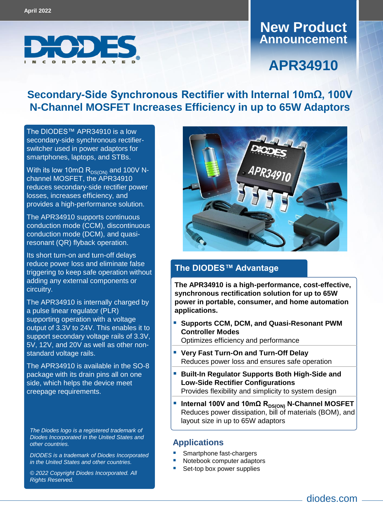

### **Announcement New Product**

# **APR34910**

### **Secondary-Side Synchronous Rectifier with Internal 10mΩ, 100V N-Channel MOSFET Increases Efficiency in up to 65W Adaptors**

The DIODES™ [APR34910](https://www.diodes.com/part/APR34910/) is a low secondary-side synchronous rectifierswitcher used in power adaptors for smartphones, laptops, and STBs.

With its low 10mΩ  $R_{DS(ON)}$  and 100V Nchannel MOSFET, the APR34910 reduces secondary-side rectifier power losses, increases efficiency, and provides a high-performance solution.

The APR34910 supports continuous conduction mode (CCM), discontinuous conduction mode (DCM), and quasiresonant (QR) flyback operation.

Its short turn-on and turn-off delays reduce power loss and eliminate false triggering to keep safe operation without adding any external components or circuitry.

The APR34910 is internally charged by a pulse linear regulator (PLR) supporting operation with a voltage output of 3.3V to 24V. This enables it to support secondary voltage rails of 3.3V, 5V, 12V, and 20V as well as other nonstandard voltage rails.

The APR34910 is available in the SO-8 package with its drain pins all on one side, which helps the device meet creepage requirements.

*The Diodes logo is a registered trademark of Diodes Incorporated in the United States and other countries.*

*DIODES is a trademark of Diodes Incorporated in the United States and other countries.*

*© 2022 Copyright Diodes Incorporated. All Rights Reserved.*



#### **The DIODES™ Advantage**

**The APR34910 is a high-performance, cost-effective, synchronous rectification solution for up to 65W power in portable, consumer, and home automation applications.**

 **Supports CCM, DCM, and Quasi-Resonant PWM Controller Modes**

Optimizes efficiency and performance

- **Very Fast Turn-On and Turn-Off Delay**  Reduces power loss and ensures safe operation
- **Built-In Regulator Supports Both High-Side and Low-Side Rectifier Configurations** Provides flexibility and simplicity to system design
- **Internal 100V and 10mΩ R<sub>DS(ON)</sub> N-Channel MOSFET** Reduces power dissipation, bill of materials (BOM), and layout size in up to 65W adaptors

#### **Applications**

- Smartphone fast-chargers
- Notebook computer adaptors
- Set-top box power supplies